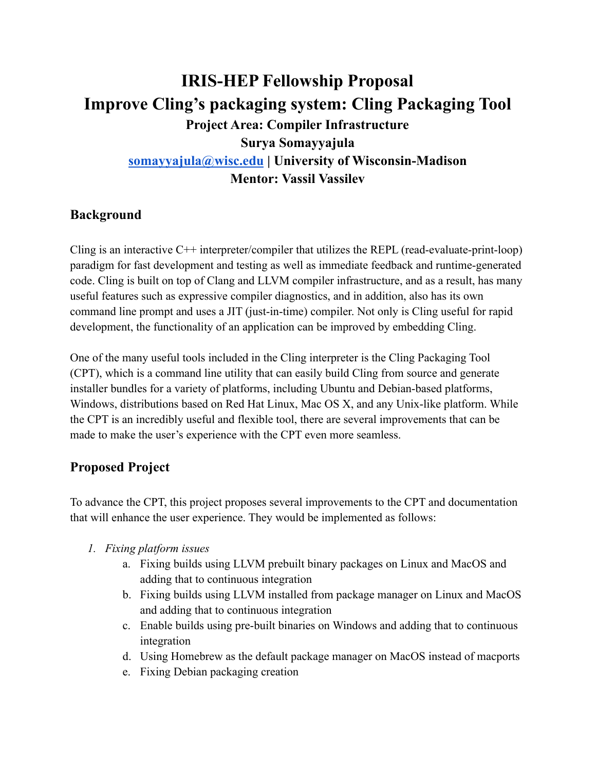# **IRIS-HEP Fellowship Proposal Improve Cling's packaging system: Cling Packaging Tool Project Area: Compiler Infrastructure Surya Somayyajula [somayyajula@wisc.edu](mailto:somayyajula@wisc.edu) | University of Wisconsin-Madison Mentor: Vassil Vassilev**

## **Background**

Cling is an interactive C++ interpreter/compiler that utilizes the REPL (read-evaluate-print-loop) paradigm for fast development and testing as well as immediate feedback and runtime-generated code. Cling is built on top of Clang and LLVM compiler infrastructure, and as a result, has many useful features such as expressive compiler diagnostics, and in addition, also has its own command line prompt and uses a JIT (just-in-time) compiler. Not only is Cling useful for rapid development, the functionality of an application can be improved by embedding Cling.

One of the many useful tools included in the Cling interpreter is the Cling Packaging Tool (CPT), which is a command line utility that can easily build Cling from source and generate installer bundles for a variety of platforms, including Ubuntu and Debian-based platforms, Windows, distributions based on Red Hat Linux, Mac OS X, and any Unix-like platform. While the CPT is an incredibly useful and flexible tool, there are several improvements that can be made to make the user's experience with the CPT even more seamless.

## **Proposed Project**

To advance the CPT, this project proposes several improvements to the CPT and documentation that will enhance the user experience. They would be implemented as follows:

- *1. Fixing platform issues*
	- a. Fixing builds using LLVM prebuilt binary packages on Linux and MacOS and adding that to continuous integration
	- b. Fixing builds using LLVM installed from package manager on Linux and MacOS and adding that to continuous integration
	- c. Enable builds using pre-built binaries on Windows and adding that to continuous integration
	- d. Using Homebrew as the default package manager on MacOS instead of macports
	- e. Fixing Debian packaging creation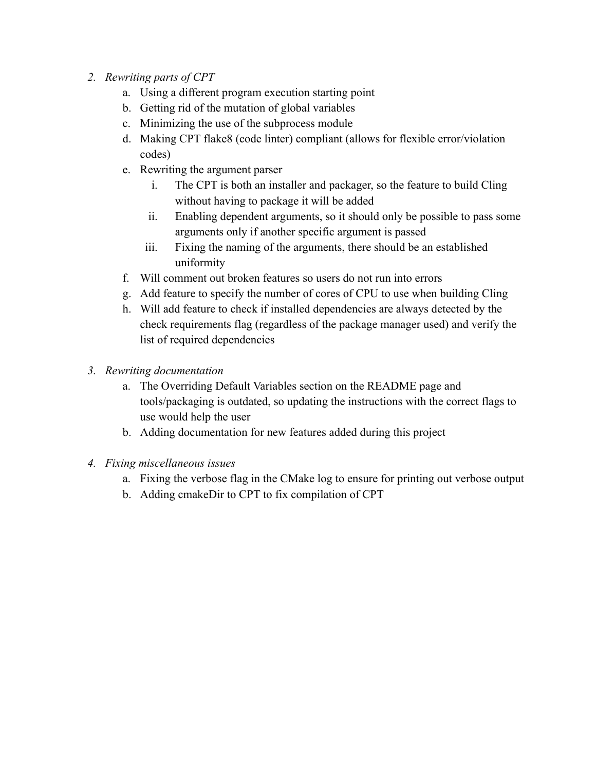- *2. Rewriting parts of CPT*
	- a. Using a different program execution starting point
	- b. Getting rid of the mutation of global variables
	- c. Minimizing the use of the subprocess module
	- d. Making CPT flake8 (code linter) compliant (allows for flexible error/violation codes)
	- e. Rewriting the argument parser
		- i. The CPT is both an installer and packager, so the feature to build Cling without having to package it will be added
		- ii. Enabling dependent arguments, so it should only be possible to pass some arguments only if another specific argument is passed
		- iii. Fixing the naming of the arguments, there should be an established uniformity
	- f. Will comment out broken features so users do not run into errors
	- g. Add feature to specify the number of cores of CPU to use when building Cling
	- h. Will add feature to check if installed dependencies are always detected by the check requirements flag (regardless of the package manager used) and verify the list of required dependencies
- *3. Rewriting documentation*
	- a. The Overriding Default Variables section on the README page and tools/packaging is outdated, so updating the instructions with the correct flags to use would help the user
	- b. Adding documentation for new features added during this project
- *4. Fixing miscellaneous issues*
	- a. Fixing the verbose flag in the CMake log to ensure for printing out verbose output
	- b. Adding cmakeDir to CPT to fix compilation of CPT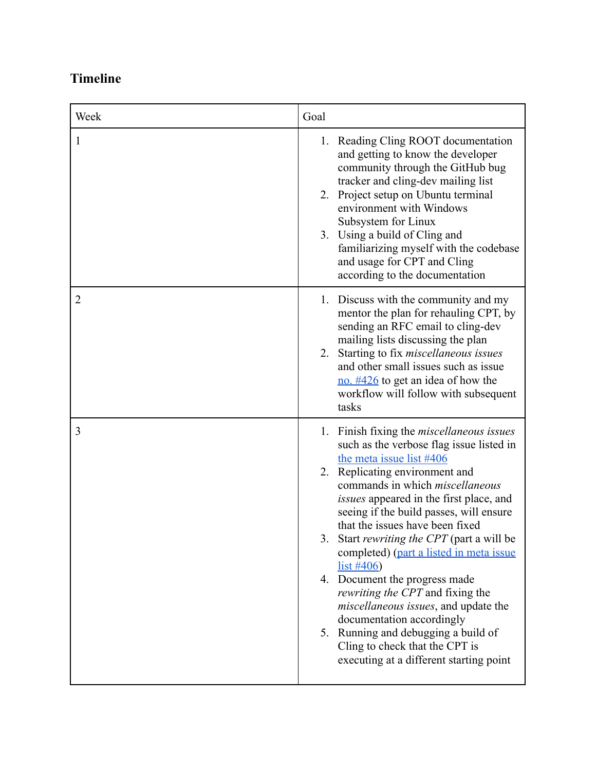## **Timeline**

| Week           | Goal                                                                                                                                                                                                                                                                                                                                                                                                                                                                                                                                                                                                                                                                                                               |
|----------------|--------------------------------------------------------------------------------------------------------------------------------------------------------------------------------------------------------------------------------------------------------------------------------------------------------------------------------------------------------------------------------------------------------------------------------------------------------------------------------------------------------------------------------------------------------------------------------------------------------------------------------------------------------------------------------------------------------------------|
| 1              | 1. Reading Cling ROOT documentation<br>and getting to know the developer<br>community through the GitHub bug<br>tracker and cling-dev mailing list<br>Project setup on Ubuntu terminal<br>2.<br>environment with Windows<br>Subsystem for Linux<br>3. Using a build of Cling and<br>familiarizing myself with the codebase<br>and usage for CPT and Cling<br>according to the documentation                                                                                                                                                                                                                                                                                                                        |
| $\overline{2}$ | 1. Discuss with the community and my<br>mentor the plan for rehauling CPT, by<br>sending an RFC email to cling-dev<br>mailing lists discussing the plan<br>Starting to fix <i>miscellaneous</i> issues<br>2.<br>and other small issues such as issue<br>no. $\frac{\#426}{ }$ to get an idea of how the<br>workflow will follow with subsequent<br>tasks                                                                                                                                                                                                                                                                                                                                                           |
| 3              | Finish fixing the <i>miscellaneous issues</i><br>1.<br>such as the verbose flag issue listed in<br>the meta issue list #406<br>2. Replicating environment and<br>commands in which <i>miscellaneous</i><br>issues appeared in the first place, and<br>seeing if the build passes, will ensure<br>that the issues have been fixed<br>Start rewriting the CPT (part a will be<br>3.<br>completed) (part a listed in meta issue<br>$list \#406)$<br>4. Document the progress made<br><i>rewriting the CPT</i> and fixing the<br>miscellaneous issues, and update the<br>documentation accordingly<br>5. Running and debugging a build of<br>Cling to check that the CPT is<br>executing at a different starting point |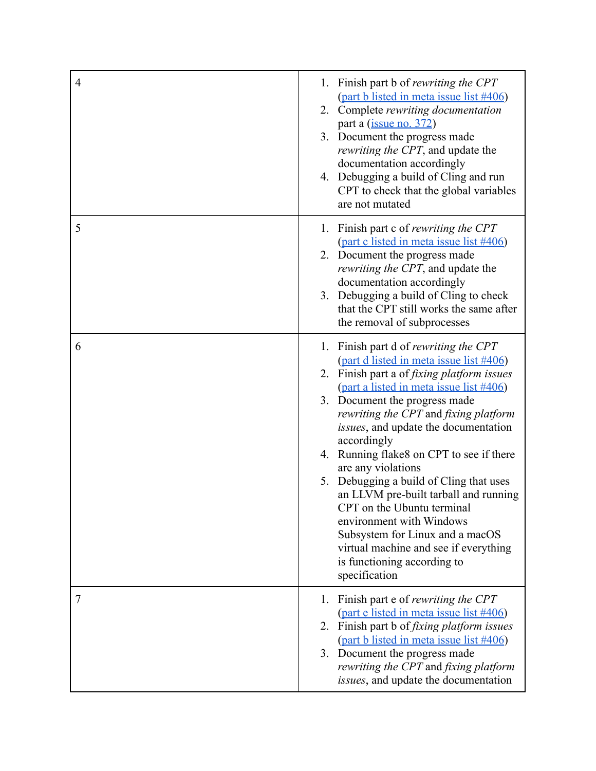| $\overline{4}$ | 1. Finish part b of rewriting the CPT<br>(part b listed in meta issue list #406)<br>2. Complete rewriting documentation<br>part a (issue no. 372)<br>3. Document the progress made<br><i>rewriting the CPT</i> , and update the<br>documentation accordingly<br>4. Debugging a build of Cling and run<br>CPT to check that the global variables<br>are not mutated                                                                                                                                                                                                                                                                                                          |
|----------------|-----------------------------------------------------------------------------------------------------------------------------------------------------------------------------------------------------------------------------------------------------------------------------------------------------------------------------------------------------------------------------------------------------------------------------------------------------------------------------------------------------------------------------------------------------------------------------------------------------------------------------------------------------------------------------|
| 5              | 1. Finish part c of <i>rewriting the CPT</i><br>(part c listed in meta issue list #406)<br>2. Document the progress made<br>rewriting the CPT, and update the<br>documentation accordingly<br>Debugging a build of Cling to check<br>3.<br>that the CPT still works the same after<br>the removal of subprocesses                                                                                                                                                                                                                                                                                                                                                           |
| 6              | Finish part d of rewriting the CPT<br>1.<br>(part d listed in meta issue list #406)<br>2. Finish part a of <i>fixing platform issues</i><br>(part a listed in meta issue list #406)<br>3. Document the progress made<br>rewriting the CPT and fixing platform<br><i>issues</i> , and update the documentation<br>accordingly<br>4. Running flake8 on CPT to see if there<br>are any violations<br>Debugging a build of Cling that uses<br>5.<br>an LLVM pre-built tarball and running<br>CPT on the Ubuntu terminal<br>environment with Windows<br>Subsystem for Linux and a macOS<br>virtual machine and see if everything<br>is functioning according to<br>specification |
| 7              | Finish part e of <i>rewriting the CPT</i><br>1.<br>(part e listed in meta issue list #406)<br>2. Finish part b of <i>fixing platform issues</i><br>(part b listed in meta issue list #406)<br>3. Document the progress made<br>rewriting the CPT and fixing platform<br>issues, and update the documentation                                                                                                                                                                                                                                                                                                                                                                |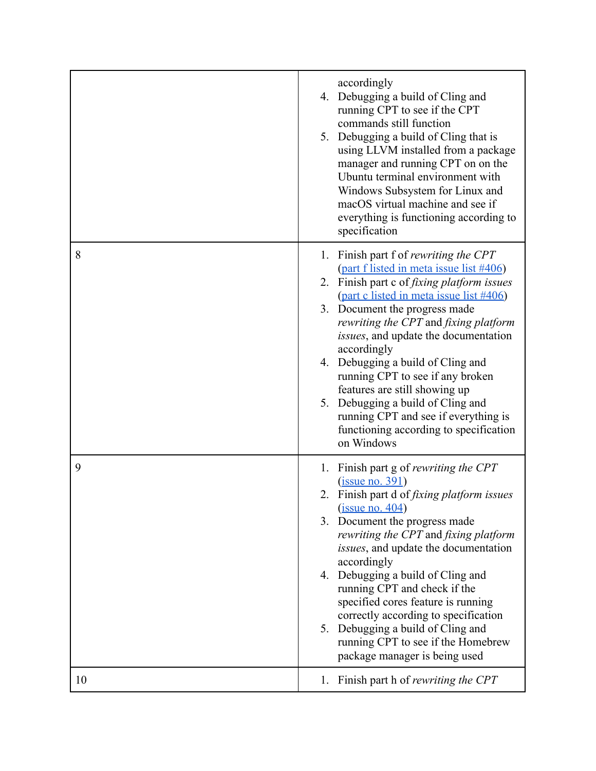|    | accordingly<br>4. Debugging a build of Cling and<br>running CPT to see if the CPT<br>commands still function<br>5. Debugging a build of Cling that is<br>using LLVM installed from a package<br>manager and running CPT on on the<br>Ubuntu terminal environment with<br>Windows Subsystem for Linux and<br>macOS virtual machine and see if<br>everything is functioning according to<br>specification                                                                                                                                                          |
|----|------------------------------------------------------------------------------------------------------------------------------------------------------------------------------------------------------------------------------------------------------------------------------------------------------------------------------------------------------------------------------------------------------------------------------------------------------------------------------------------------------------------------------------------------------------------|
| 8  | 1. Finish part f of rewriting the CPT<br>(part f listed in meta issue list #406)<br>2. Finish part c of <i>fixing platform issues</i><br>(part c listed in meta issue list #406)<br>3. Document the progress made<br>rewriting the CPT and fixing platform<br>issues, and update the documentation<br>accordingly<br>4. Debugging a build of Cling and<br>running CPT to see if any broken<br>features are still showing up<br>5. Debugging a build of Cling and<br>running CPT and see if everything is<br>functioning according to specification<br>on Windows |
| 9  | 1. Finish part g of <i>rewriting the CPT</i><br>(issue no. 391)<br>2. Finish part d of fixing platform issues<br>(iisue no. 404)<br>3. Document the progress made<br>rewriting the CPT and fixing platform<br>issues, and update the documentation<br>accordingly<br>4. Debugging a build of Cling and<br>running CPT and check if the<br>specified cores feature is running<br>correctly according to specification<br>5. Debugging a build of Cling and<br>running CPT to see if the Homebrew<br>package manager is being used                                 |
| 10 | Finish part h of rewriting the CPT<br>1.                                                                                                                                                                                                                                                                                                                                                                                                                                                                                                                         |